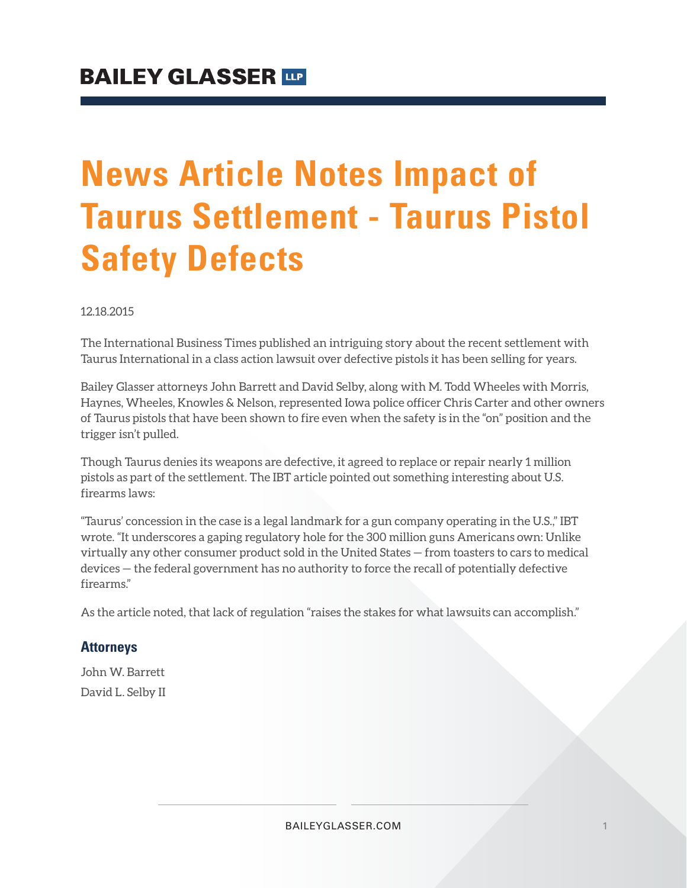## **News Article Notes Impact of Taurus Settlement - Taurus Pistol Safety Defects**

12.18.2015

The International Business Times published an intriguing story about the recent settlement with Taurus International in a class action lawsuit over defective pistols it has been selling for years.

Bailey Glasser attorneys John Barrett and David Selby, along with M. Todd Wheeles with Morris, Haynes, Wheeles, Knowles & Nelson, represented Iowa police officer Chris Carter and other owners of Taurus pistols that have been shown to fire even when the safety is in the "on" position and the trigger isn't pulled.

Though Taurus denies its weapons are defective, it agreed to replace or repair nearly 1 million pistols as part of the settlement. The IBT article pointed out something interesting about U.S. firearms laws:

"Taurus' concession in the case is a legal landmark for a gun company operating in the U.S.," IBT wrote. "It underscores a gaping regulatory hole for the 300 million guns Americans own: Unlike virtually any other consumer product sold in the United States — from toasters to cars to medical devices — the federal government has no authority to force the recall of potentially defective firearms."

As the article noted, that lack of regulation "raises the stakes for what lawsuits can accomplish."

## **Attorneys**

John W. Barrett David L. Selby II